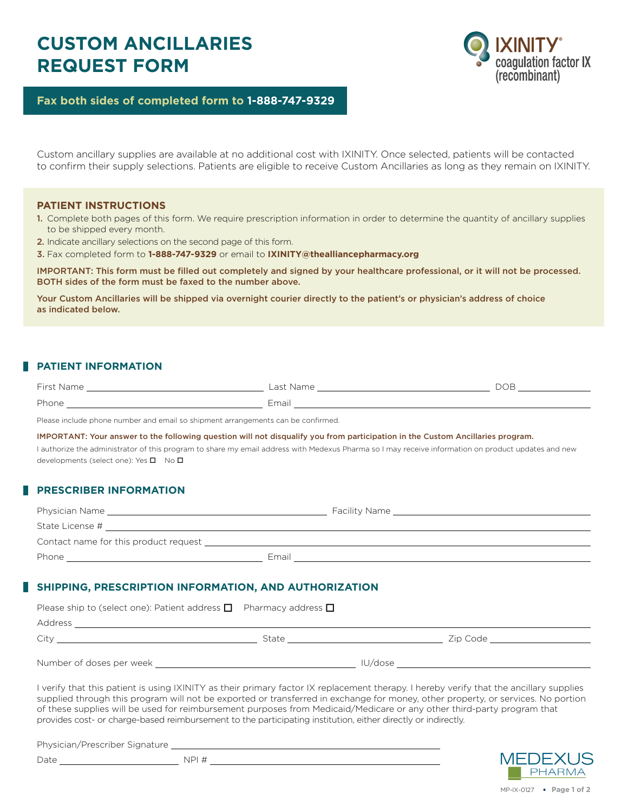# **CUSTOM ANCILLARIES REQUEST FORM**



**Fax both sides of completed form to 1-888-747-9329**

Custom ancillary supplies are available at no additional cost with IXINITY. Once selected, patients will be contacted to confirm their supply selections. Patients are eligible to receive Custom Ancillaries as long as they remain on IXINITY.

#### **PATIENT INSTRUCTIONS**

- 1. Complete both pages of this form. We require prescription information in order to determine the quantity of ancillary supplies to be shipped every month.
- 2. Indicate ancillary selections on the second page of this form.
- 3. Fax completed form to **1-888-747-9329** or email to **IXINITY@thealliancepharmacy.org**

IMPORTANT: This form must be filled out completely and signed by your healthcare professional, or it will not be processed. BOTH sides of the form must be faxed to the number above.

Your Custom Ancillaries will be shipped via overnight courier directly to the patient's or physician's address of choice as indicated below.

### **PATIENT INFORMATION**

| <b>Cives</b><br>$\cdots$ | act.<br>vanie | $\check{ }$<br>~ |
|--------------------------|---------------|------------------|
| <b>Dhon</b><br>поне      | $F \sim 2$    |                  |

Please include phone number and email so shipment arrangements can be confirmed.

IMPORTANT: Your answer to the following question will not disqualify you from participation in the Custom Ancillaries program.

I authorize the administrator of this program to share my email address with Medexus Pharma so I may receive information on product updates and new developments (select one): Yes  $\square$  No  $\square$ 

### **PRESCRIBER INFORMATION**

| Physician Name                        |       | Facility Name |
|---------------------------------------|-------|---------------|
| State License #                       |       |               |
| Contact name for this product request |       |               |
| Phone                                 | Email |               |

#### **SHIPPING, PRESCRIPTION INFORMATION, AND AUTHORIZATION**

| Please ship to (select one): Patient address $\Box$ Pharmacy address $\Box$ |       |                                                                                                                                                                                                                                |                               |
|-----------------------------------------------------------------------------|-------|--------------------------------------------------------------------------------------------------------------------------------------------------------------------------------------------------------------------------------|-------------------------------|
|                                                                             |       |                                                                                                                                                                                                                                |                               |
| City                                                                        | State |                                                                                                                                                                                                                                | Zip Code ____________________ |
| Number of doses per week Number of doses per week                           |       | IU/dose and a control of the control of the control of the control of the control of the control of the control of the control of the control of the control of the control of the control of the control of the control of th |                               |

I verify that this patient is using IXINITY as their primary factor IX replacement therapy. I hereby verify that the ancillary supplies supplied through this program will not be exported or transferred in exchange for money, other property, or services. No portion of these supplies will be used for reimbursement purposes from Medicaid/Medicare or any other third-party program that provides cost- or charge-based reimbursement to the participating institution, either directly or indirectly.

Physician/Prescriber Signature

Date NPI #



MP-IX-0127 **Page 1 of 2**